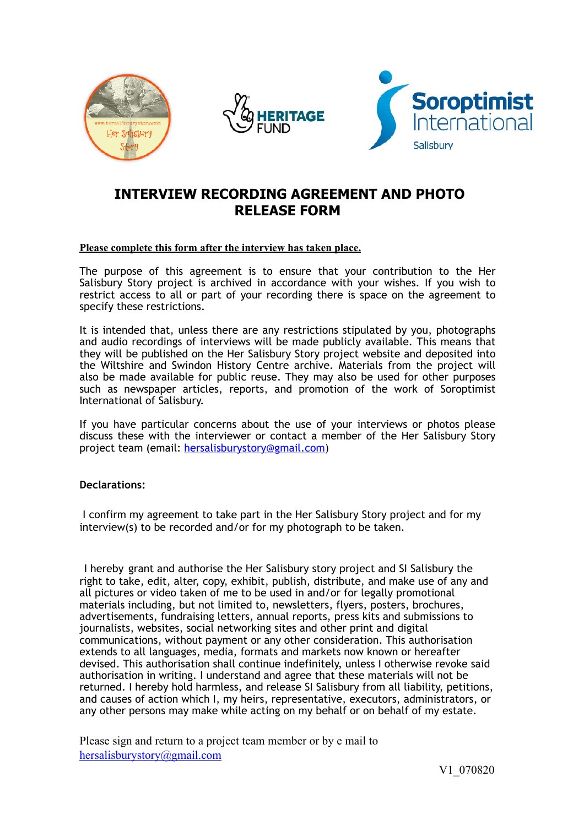





## **INTERVIEW RECORDING AGREEMENT AND PHOTO RELEASE FORM**

## **Please complete this form after the interview has taken place.**

The purpose of this agreement is to ensure that your contribution to the Her Salisbury Story project is archived in accordance with your wishes. If you wish to restrict access to all or part of your recording there is space on the agreement to specify these restrictions.

It is intended that, unless there are any restrictions stipulated by you, photographs and audio recordings of interviews will be made publicly available. This means that they will be published on the Her Salisbury Story project website and deposited into the Wiltshire and Swindon History Centre archive. Materials from the project will also be made available for public reuse. They may also be used for other purposes such as newspaper articles, reports, and promotion of the work of Soroptimist International of Salisbury.

If you have particular concerns about the use of your interviews or photos please discuss these with the interviewer or contact a member of the Her Salisbury Story project team (email: [hersalisburystory@gmail.com](mailto:hersalisburystory@gmail.com))

## **Declarations:**

 I confirm my agreement to take part in the Her Salisbury Story project and for my interview(s) to be recorded and/or for my photograph to be taken.

I hereby grant and authorise the Her Salisbury story project and SI Salisbury the right to take, edit, alter, copy, exhibit, publish, distribute, and make use of any and all pictures or video taken of me to be used in and/or for legally promotional materials including, but not limited to, newsletters, flyers, posters, brochures, advertisements, fundraising letters, annual reports, press kits and submissions to journalists, websites, social networking sites and other print and digital communications, without payment or any other consideration. This authorisation extends to all languages, media, formats and markets now known or hereafter devised. This authorisation shall continue indefinitely, unless I otherwise revoke said authorisation in writing. I understand and agree that these materials will not be returned. I hereby hold harmless, and release SI Salisbury from all liability, petitions, and causes of action which I, my heirs, representative, executors, administrators, or any other persons may make while acting on my behalf or on behalf of my estate.

Please sign and return to a project team member or by e mail to [hersalisburystory@gmail.com](mailto:hersalisburystory@gmail.com)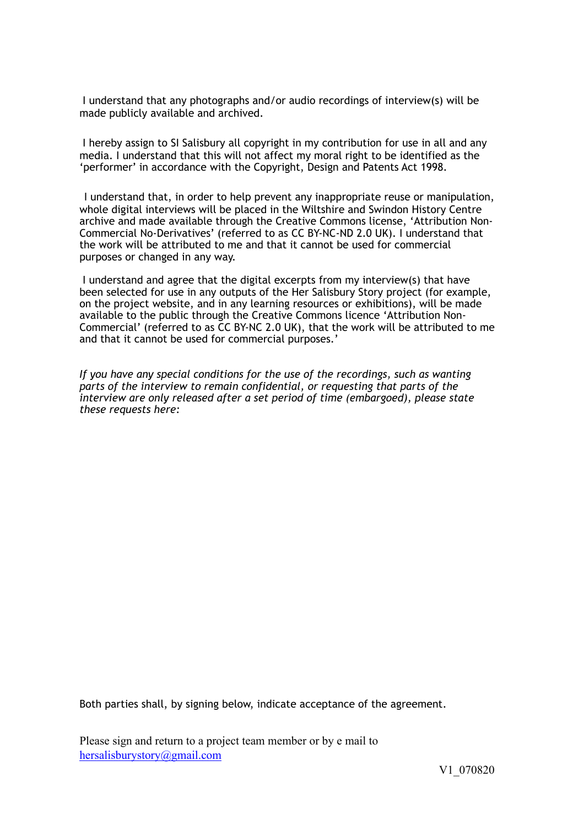I understand that any photographs and/or audio recordings of interview(s) will be made publicly available and archived.

 I hereby assign to SI Salisbury all copyright in my contribution for use in all and any media. I understand that this will not affect my moral right to be identified as the 'performer' in accordance with the Copyright, Design and Patents Act 1998.

I understand that, in order to help prevent any inappropriate reuse or manipulation, whole digital interviews will be placed in the Wiltshire and Swindon History Centre archive and made available through the Creative Commons license, 'Attribution Non-Commercial No-Derivatives' (referred to as CC BY-NC-ND 2.0 UK). I understand that the work will be attributed to me and that it cannot be used for commercial purposes or changed in any way.

 I understand and agree that the digital excerpts from my interview(s) that have been selected for use in any outputs of the Her Salisbury Story project (for example, on the project website, and in any learning resources or exhibitions), will be made available to the public through the Creative Commons licence 'Attribution Non-Commercial' (referred to as CC BY-NC 2.0 UK), that the work will be attributed to me and that it cannot be used for commercial purposes.'

*If you have any special conditions for the use of the recordings, such as wanting*  parts of the interview to remain confidential, or requesting that parts of the *interview are only released after a set period of time (embargoed), please state these requests here:* 

Both parties shall, by signing below, indicate acceptance of the agreement.

Please sign and return to a project team member or by e mail to [hersalisburystory@gmail.com](mailto:hersalisburystory@gmail.com)